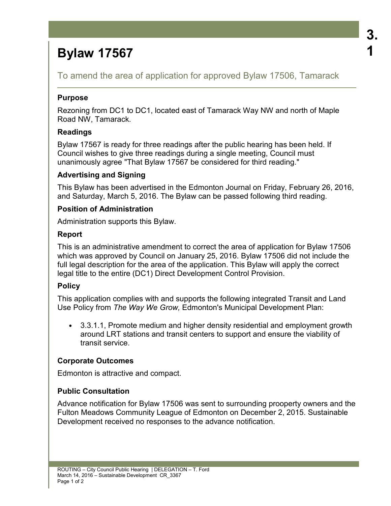# **Bylaw 17567**

To amend the area of application for approved Bylaw 17506, Tamarack

#### **Purpose**

Rezoning from DC1 to DC1, located east of Tamarack Way NW and north of Maple Road NW, Tamarack.

# **Readings**

Bylaw 17567 is ready for three readings after the public hearing has been held. If Council wishes to give three readings during a single meeting, Council must unanimously agree "That Bylaw 17567 be considered for third reading."

#### **Advertising and Signing**

This Bylaw has been advertised in the Edmonton Journal on Friday, February 26, 2016, and Saturday, March 5, 2016. The Bylaw can be passed following third reading.

#### **Position of Administration**

Administration supports this Bylaw.

#### **Report**

This is an administrative amendment to correct the area of application for Bylaw 17506 which was approved by Council on January 25, 2016. Bylaw 17506 did not include the full legal description for the area of the application. This Bylaw will apply the correct legal title to the entire (DC1) Direct Development Control Provision.

# **Policy**

This application complies with and supports the following integrated Transit and Land Use Policy from *The Way We Grow,* Edmonton's Municipal Development Plan:

• 3.3.1.1, Promote medium and higher density residential and employment growth around LRT stations and transit centers to support and ensure the viability of transit service.

#### **Corporate Outcomes**

Edmonton is attractive and compact.

# **Public Consultation**

Advance notification for Bylaw 17506 was sent to surrounding prooperty owners and the Fulton Meadows Community League of Edmonton on December 2, 2015. Sustainable Development received no responses to the advance notification.